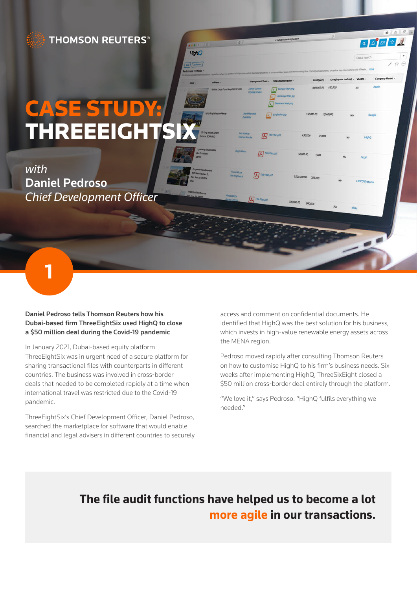## **THOMSON REUTERS®**

# CASE ST THREEEIGHT

HighO  $\frac{1}{2}$  / Actions -

*with* Daniel Pedroso *Chief Development Officer*

**1**

#### Daniel Pedroso tells Thomson Reuters how his Dubai-based firm ThreeEightSix used HighQ to close a \$50 million deal during the Covid-19 pandemic

In January 2021, Dubai-based equity platform ThreeEightSix was in urgent need of a secure platform for sharing transactional files with counterparts in different countries. The business was involved in cross-border deals that needed to be completed rapidly at a time when international travel was restricted due to the Covid-19 pandemic.

ThreeEightSix's Chief Development Officer, Daniel Pedroso, searched the marketplace for software that would enable financial and legal advisers in different countries to securely access and comment on confidential documents. He identified that HighQ was the best solution for his business, which invests in high-value renewable energy assets across the MENA region.

 $910P$ 

Pedroso moved rapidly after consulting Thomson Reuters on how to customise HighQ to his firm's business needs. Six weeks after implementing HighQ, ThreeSixEight closed a \$50 million cross-border deal entirely through the platform.

"We love it," says Pedroso. "HighQ fulfils everything we needed."

## **The file audit functions have helped us to become a lot more agile in our transactions.**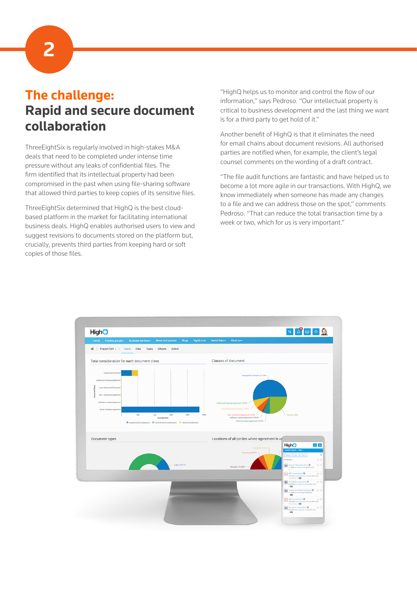**2**

# **The challenge: Rapid and secure document collaboration**

ThreeEightSix is regularly involved in high-stakes M&A deals that need to be completed under intense time pressure without any leaks of confidential files. The firm identified that its intellectual property had been compromised in the past when using file-sharing software that allowed third parties to keep copies of its sensitive files.

ThreeEightSix determined that HighQ is the best cloudbased platform in the market for facilitating international business deals. HighQ enables authorised users to view and suggest revisions to documents stored on the platform but, crucially, prevents third parties from keeping hard or soft copies of those files.

"HighQ helps us to monitor and control the flow of our information," says Pedroso. "Our intellectual property is critical to business development and the last thing we want is for a third party to get hold of it."

Another benefit of HighQ is that it eliminates the need for email chains about document revisions. All authorised parties are notified when, for example, the client's legal counsel comments on the wording of a draft contract.

"The file audit functions are fantastic and have helped us to become a lot more agile in our transactions. With HighQ, we know immediately when someone has made any changes to a file and we can address those on the spot," comments Pedroso. "That can reduce the total transaction time by a week or two, which for us is very important."

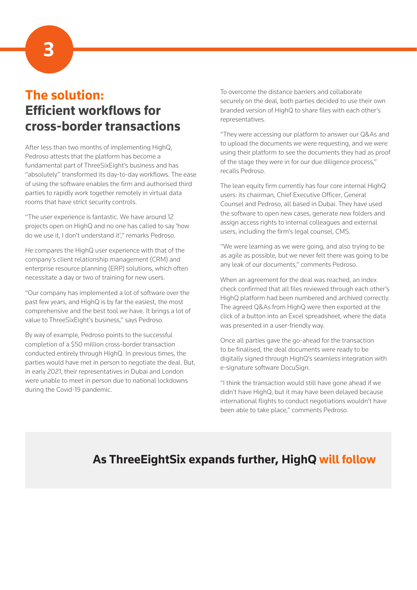**3**

# **The solution: Efficient workflows for cross-border transactions**

After less than two months of implementing HighQ, Pedroso attests that the platform has become a fundamental part of ThreeSixEight's business and has "absolutely" transformed its day-to-day workflows. The ease of using the software enables the firm and authorised third parties to rapidly work together remotely in virtual data rooms that have strict security controls.

"The user experience is fantastic. We have around 12 projects open on HighQ and no one has called to say 'how do we use it, I don't understand it'," remarks Pedroso.

He compares the HighQ user experience with that of the company's client relationship management (CRM) and enterprise resource planning (ERP) solutions, which often necessitate a day or two of training for new users.

"Our company has implemented a lot of software over the past few years, and HighQ is by far the easiest, the most comprehensive and the best tool we have. It brings a lot of value to ThreeSixEight's business," says Pedroso.

By way of example, Pedroso points to the successful completion of a \$50 million cross-border transaction conducted entirely through HighQ. In previous times, the parties would have met in person to negotiate the deal. But, in early 2021, their representatives in Dubai and London were unable to meet in person due to national lockdowns during the Covid-19 pandemic.

To overcome the distance barriers and collaborate securely on the deal, both parties decided to use their own branded version of HighQ to share files with each other's representatives.

"They were accessing our platform to answer our Q&As and to upload the documents we were requesting, and we were using their platform to see the documents they had as proof of the stage they were in for our due diligence process," recalls Pedroso.

The lean equity firm currently has four core internal HighQ users: its chairman, Chief Executive Officer, General Counsel and Pedroso, all based in Dubai. They have used the software to open new cases, generate new folders and assign access rights to internal colleagues and external users, including the firm's legal counsel, CMS.

"We were learning as we were going, and also trying to be as agile as possible, but we never felt there was going to be any leak of our documents," comments Pedroso.

When an agreement for the deal was reached, an index check confirmed that all files reviewed through each other's HighQ platform had been numbered and archived correctly. The agreed Q&As from HighQ were then exported at the click of a button into an Excel spreadsheet, where the data was presented in a user-friendly way.

Once all parties gave the go-ahead for the transaction to be finalised, the deal documents were ready to be digitally signed through HighQ's seamless integration with e-signature software DocuSign.

"I think the transaction would still have gone ahead if we didn't have HighQ, but it may have been delayed because international flights to conduct negotiations wouldn't have been able to take place," comments Pedroso.

## **As ThreeEightSix expands further, HighQ will follow**